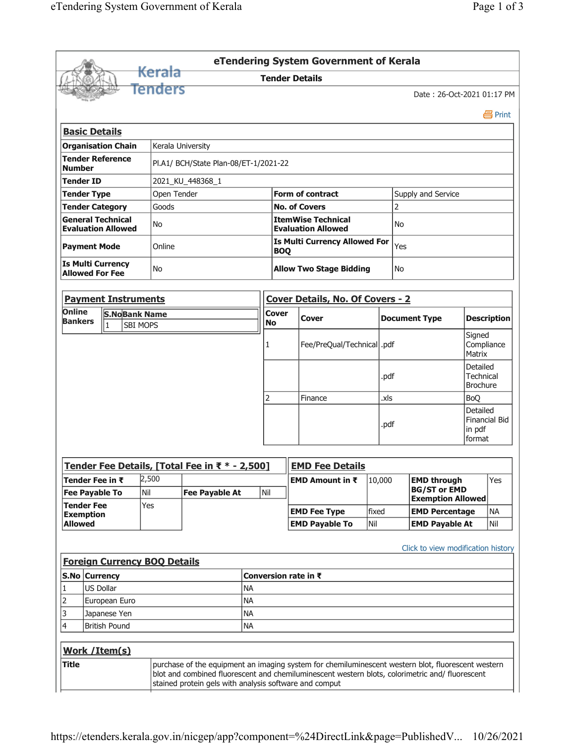|                                                    |           |                                                       |                                     |                                                                                                                                                           |                           |              | eTendering System Government of Kerala                 |                      |                    |                                    |                                                 |                                |  |  |  |
|----------------------------------------------------|-----------|-------------------------------------------------------|-------------------------------------|-----------------------------------------------------------------------------------------------------------------------------------------------------------|---------------------------|--------------|--------------------------------------------------------|----------------------|--------------------|------------------------------------|-------------------------------------------------|--------------------------------|--|--|--|
|                                                    |           |                                                       | <del>Kerala</del>                   |                                                                                                                                                           |                           |              | <b>Tender Details</b>                                  |                      |                    |                                    |                                                 |                                |  |  |  |
|                                                    |           |                                                       | Tenders                             |                                                                                                                                                           |                           |              |                                                        |                      |                    |                                    | Date: 26-Oct-2021 01:17 PM                      |                                |  |  |  |
|                                                    |           |                                                       |                                     |                                                                                                                                                           |                           |              |                                                        |                      |                    |                                    |                                                 | 昌 Print                        |  |  |  |
| <b>Basic Details</b>                               |           |                                                       |                                     |                                                                                                                                                           |                           |              |                                                        |                      |                    |                                    |                                                 |                                |  |  |  |
|                                                    |           | <b>Organisation Chain</b>                             |                                     | Kerala University                                                                                                                                         |                           |              |                                                        |                      |                    |                                    |                                                 |                                |  |  |  |
| <b>Number</b>                                      |           | <b>Tender Reference</b>                               |                                     | Pl.A1/ BCH/State Plan-08/ET-1/2021-22                                                                                                                     |                           |              |                                                        |                      |                    |                                    |                                                 |                                |  |  |  |
| 2021_KU_448368_1<br><b>Tender ID</b>               |           |                                                       |                                     |                                                                                                                                                           |                           |              |                                                        |                      |                    |                                    |                                                 |                                |  |  |  |
| <b>Tender Type</b>                                 |           |                                                       | Open Tender                         |                                                                                                                                                           |                           |              | <b>Form of contract</b>                                |                      | Supply and Service |                                    |                                                 |                                |  |  |  |
|                                                    |           | <b>Tender Category</b>                                | Goods                               |                                                                                                                                                           |                           |              | <b>No. of Covers</b>                                   | $\overline{2}$       |                    |                                    |                                                 |                                |  |  |  |
|                                                    |           | <b>General Technical</b><br><b>Evaluation Allowed</b> | No                                  |                                                                                                                                                           |                           |              | <b>ItemWise Technical</b><br><b>Evaluation Allowed</b> | <b>No</b>            |                    |                                    |                                                 |                                |  |  |  |
| <b>Payment Mode</b>                                |           |                                                       | Online                              |                                                                                                                                                           |                           |              | <b>Is Multi Currency Allowed For</b><br><b>BOQ</b>     |                      |                    | Yes                                |                                                 |                                |  |  |  |
| <b>Is Multi Currency</b><br><b>Allowed For Fee</b> |           |                                                       | No                                  |                                                                                                                                                           |                           |              | <b>Allow Two Stage Bidding</b><br>No                   |                      |                    |                                    |                                                 |                                |  |  |  |
|                                                    |           | <b>Payment Instruments</b>                            |                                     |                                                                                                                                                           |                           |              | <b>Cover Details, No. Of Covers - 2</b>                |                      |                    |                                    |                                                 |                                |  |  |  |
| Online<br><b>Bankers</b>                           |           | <b>S.NoBank Name</b><br><b>SBI MOPS</b><br>1          |                                     |                                                                                                                                                           | <b>Cover</b><br><b>No</b> | <b>Cover</b> |                                                        | <b>Document Type</b> |                    |                                    | <b>Description</b>                              |                                |  |  |  |
|                                                    |           |                                                       |                                     |                                                                                                                                                           |                           |              | Fee/PreQual/Technical  .pdf                            |                      |                    |                                    |                                                 | Signed<br>Compliance<br>Matrix |  |  |  |
|                                                    |           |                                                       |                                     |                                                                                                                                                           |                           |              |                                                        |                      | .pdf               |                                    | Detailed<br><b>Technical</b><br><b>Brochure</b> |                                |  |  |  |
|                                                    |           |                                                       |                                     |                                                                                                                                                           |                           | 2            | Finance                                                |                      | .xls               |                                    | <b>BoO</b>                                      |                                |  |  |  |
|                                                    |           |                                                       |                                     |                                                                                                                                                           |                           |              |                                                        |                      | .pdf               |                                    | Detailed<br>in pdf<br>format                    | <b>Financial Bid</b>           |  |  |  |
|                                                    |           |                                                       |                                     | Tender Fee Details, [Total Fee in ₹ * - 2,500]                                                                                                            |                           |              | <b>EMD Fee Details</b>                                 |                      |                    |                                    |                                                 |                                |  |  |  |
|                                                    |           | Tender Fee in $\bar{\tau}$                            | 2,500                               |                                                                                                                                                           |                           |              | EMD Amount in ₹                                        |                      | 10,000             | <b>EMD through</b>                 |                                                 | Yes                            |  |  |  |
| <b>Tender Fee</b>                                  |           | <b>Fee Payable To</b>                                 | Nil<br>Yes                          | Nil<br><b>Fee Payable At</b>                                                                                                                              |                           |              |                                                        |                      |                    | <b>BG/ST or EMD</b>                | <b>Exemption Allowed</b>                        |                                |  |  |  |
| <b>Exemption</b>                                   |           |                                                       |                                     |                                                                                                                                                           |                           |              | <b>EMD Fee Type</b>                                    |                      | fixed              | <b>EMD Percentage</b>              |                                                 | <b>NA</b>                      |  |  |  |
| <b>Allowed</b>                                     |           |                                                       |                                     |                                                                                                                                                           |                           |              | <b>EMD Payable To</b>                                  | Nil                  |                    | <b>EMD Payable At</b>              |                                                 | Nil                            |  |  |  |
| S.No Currency                                      |           |                                                       | <b>Foreign Currency BOQ Details</b> |                                                                                                                                                           |                           |              |                                                        |                      |                    | Click to view modification history |                                                 |                                |  |  |  |
| 1                                                  | US Dollar |                                                       | <b>NA</b>                           |                                                                                                                                                           |                           |              | Conversion rate in ₹                                   |                      |                    |                                    |                                                 |                                |  |  |  |
| 2                                                  |           | European Euro                                         | <b>NA</b>                           |                                                                                                                                                           |                           |              |                                                        |                      |                    |                                    |                                                 |                                |  |  |  |
| 3                                                  |           | <b>NA</b><br>Japanese Yen                             |                                     |                                                                                                                                                           |                           |              |                                                        |                      |                    |                                    |                                                 |                                |  |  |  |
| 4<br><b>NA</b><br><b>British Pound</b>             |           |                                                       |                                     |                                                                                                                                                           |                           |              |                                                        |                      |                    |                                    |                                                 |                                |  |  |  |
|                                                    |           | Work / Item(s)                                        |                                     |                                                                                                                                                           |                           |              |                                                        |                      |                    |                                    |                                                 |                                |  |  |  |
| <b>Title</b>                                       |           |                                                       |                                     | purchase of the equipment an imaging system for chemiluminescent western blot, fluorescent western                                                        |                           |              |                                                        |                      |                    |                                    |                                                 |                                |  |  |  |
|                                                    |           |                                                       |                                     | blot and combined fluorescent and chemiluminescent western blots, colorimetric and/ fluorescent<br>stained protein gels with analysis software and comput |                           |              |                                                        |                      |                    |                                    |                                                 |                                |  |  |  |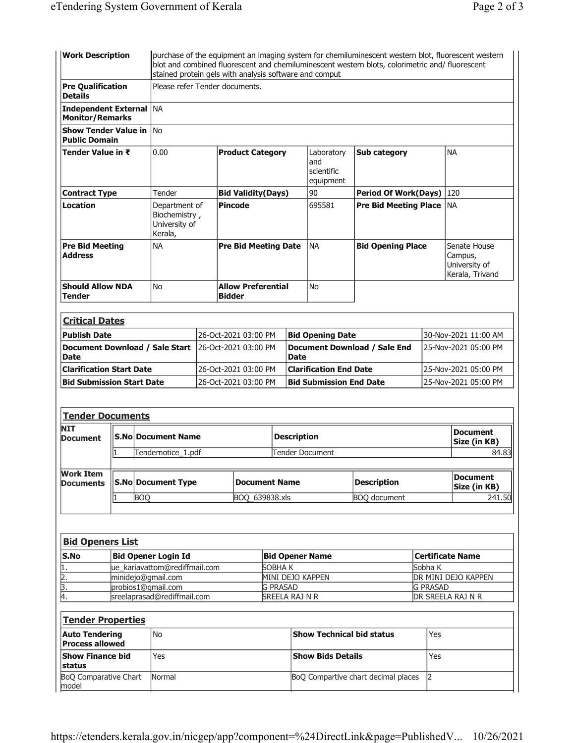| <b>Work Description</b>                                  |                    |                                                               | purchase of the equipment an imaging system for chemiluminescent western blot, fluorescent western<br>blot and combined fluorescent and chemiluminescent western blots, colorimetric and/ fluorescent<br>stained protein gels with analysis software and comput |  |                                              |                                     |                                                              |                                     |                                 |                                                             |                        |  |  |  |
|----------------------------------------------------------|--------------------|---------------------------------------------------------------|-----------------------------------------------------------------------------------------------------------------------------------------------------------------------------------------------------------------------------------------------------------------|--|----------------------------------------------|-------------------------------------|--------------------------------------------------------------|-------------------------------------|---------------------------------|-------------------------------------------------------------|------------------------|--|--|--|
| <b>Pre Qualification</b><br><b>Details</b>               |                    |                                                               | Please refer Tender documents.                                                                                                                                                                                                                                  |  |                                              |                                     |                                                              |                                     |                                 |                                                             |                        |  |  |  |
| <b>Independent External NA</b><br><b>Monitor/Remarks</b> |                    |                                                               |                                                                                                                                                                                                                                                                 |  |                                              |                                     |                                                              |                                     |                                 |                                                             |                        |  |  |  |
| <b>Show Tender Value in No</b><br><b>Public Domain</b>   |                    |                                                               |                                                                                                                                                                                                                                                                 |  |                                              |                                     |                                                              |                                     |                                 |                                                             |                        |  |  |  |
| Tender Value in ₹                                        | 0.00               |                                                               |                                                                                                                                                                                                                                                                 |  | <b>Product Category</b>                      |                                     | Sub category<br>Laboratory<br>and<br>scientific<br>equipment |                                     |                                 | <b>NA</b>                                                   |                        |  |  |  |
| <b>Contract Type</b>                                     | Tender             |                                                               |                                                                                                                                                                                                                                                                 |  | <b>Bid Validity(Days)</b>                    |                                     |                                                              | Period Of Work(Days) 120            |                                 |                                                             |                        |  |  |  |
| Location                                                 | Kerala,            | Department of<br>Biochemistry,<br>University of               |                                                                                                                                                                                                                                                                 |  | <b>Pincode</b>                               |                                     |                                                              | Pre Bid Meeting Place NA            |                                 |                                                             |                        |  |  |  |
| <b>Pre Bid Meeting</b><br><b>Address</b>                 |                    | <b>NA</b>                                                     | <b>Pre Bid Meeting Date</b>                                                                                                                                                                                                                                     |  |                                              |                                     | <b>NA</b>                                                    | <b>Bid Opening Place</b>            |                                 | Senate House<br>Campus,<br>University of<br>Kerala, Trivand |                        |  |  |  |
| <b>Should Allow NDA</b><br><b>Tender</b>                 |                    | No                                                            | <b>Allow Preferential</b><br><b>Bidder</b>                                                                                                                                                                                                                      |  |                                              |                                     |                                                              | No                                  |                                 |                                                             |                        |  |  |  |
|                                                          |                    |                                                               |                                                                                                                                                                                                                                                                 |  |                                              |                                     |                                                              |                                     |                                 |                                                             |                        |  |  |  |
| <b>Critical Dates</b>                                    |                    |                                                               |                                                                                                                                                                                                                                                                 |  |                                              |                                     |                                                              |                                     |                                 |                                                             |                        |  |  |  |
| <b>Publish Date</b>                                      |                    |                                                               | 26-Oct-2021 03:00 PM                                                                                                                                                                                                                                            |  |                                              |                                     |                                                              | <b>Bid Opening Date</b>             |                                 | 30-Nov-2021 11:00 AM                                        |                        |  |  |  |
| <b>Date</b>                                              |                    |                                                               | Document Download / Sale Start<br>l26-Oct-2021 03:00 PM                                                                                                                                                                                                         |  |                                              |                                     | Document Download / Sale End<br><b>Date</b>                  |                                     |                                 |                                                             | 25-Nov-2021 05:00 PM   |  |  |  |
| <b>Clarification Start Date</b>                          |                    |                                                               | 26-Oct-2021 03:00 PM                                                                                                                                                                                                                                            |  |                                              |                                     |                                                              | <b>Clarification End Date</b>       |                                 | 25-Nov-2021 05:00 PM                                        |                        |  |  |  |
| <b>Bid Submission Start Date</b>                         |                    |                                                               | 26-Oct-2021 03:00 PM                                                                                                                                                                                                                                            |  |                                              |                                     |                                                              | <b>Bid Submission End Date</b>      |                                 | 25-Nov-2021 05:00 PM                                        |                        |  |  |  |
| <b>Tender Documents</b>                                  |                    |                                                               |                                                                                                                                                                                                                                                                 |  |                                              |                                     |                                                              |                                     |                                 |                                                             |                        |  |  |  |
| <b>NIT</b><br>Document                                   |                    | <b>S.No Document Name</b>                                     |                                                                                                                                                                                                                                                                 |  | <b>Description</b><br><b>Tender Document</b> |                                     |                                                              |                                     | <b>Document</b><br>Size (in KB) |                                                             |                        |  |  |  |
|                                                          |                    | Tendernotice_1.pdf                                            |                                                                                                                                                                                                                                                                 |  |                                              |                                     |                                                              |                                     |                                 |                                                             |                        |  |  |  |
| <b>Work Item</b><br><b>Documents</b>                     |                    |                                                               | <b>S.No Document Type</b><br><b>Document Name</b>                                                                                                                                                                                                               |  |                                              |                                     |                                                              |                                     | <b>Description</b>              |                                                             | <b>Document</b>        |  |  |  |
|                                                          |                    | <b>BOQ</b>                                                    | BOQ_639838.xls                                                                                                                                                                                                                                                  |  |                                              |                                     | <b>BOQ</b> document                                          |                                     |                                 |                                                             | Size (in KB)<br>241.50 |  |  |  |
|                                                          |                    |                                                               |                                                                                                                                                                                                                                                                 |  |                                              |                                     |                                                              |                                     |                                 |                                                             |                        |  |  |  |
| <b>Bid Openers List</b>                                  |                    |                                                               |                                                                                                                                                                                                                                                                 |  |                                              |                                     |                                                              |                                     |                                 |                                                             |                        |  |  |  |
| S.No                                                     |                    | <b>Bid Opener Login Id</b>                                    |                                                                                                                                                                                                                                                                 |  |                                              |                                     |                                                              | <b>Bid Opener Name</b>              |                                 | <b>Certificate Name</b>                                     |                        |  |  |  |
| $\frac{1}{2}$ .<br>$\frac{2}{3}$ .                       |                    | ue_kariavattom@rediffmail.com<br>SOBHAK<br>minidejo@gmail.com |                                                                                                                                                                                                                                                                 |  |                                              |                                     |                                                              |                                     | Sobha K                         | DR MINI DEJO KAPPEN                                         |                        |  |  |  |
|                                                          | probios1@gmail.com |                                                               |                                                                                                                                                                                                                                                                 |  |                                              | MINI DEJO KAPPEN<br><b>G PRASAD</b> |                                                              |                                     |                                 |                                                             | <b>G PRASAD</b>        |  |  |  |
| Ā.<br>sreelaprasad@rediffmail.com                        |                    |                                                               |                                                                                                                                                                                                                                                                 |  | SREELA RAJ N R                               |                                     |                                                              |                                     |                                 | DR SREELA RAJ N R                                           |                        |  |  |  |
| <b>Tender Properties</b>                                 |                    |                                                               |                                                                                                                                                                                                                                                                 |  |                                              |                                     |                                                              |                                     |                                 |                                                             |                        |  |  |  |
| <b>Auto Tendering</b><br><b>Process allowed</b>          | <b>No</b>          |                                                               |                                                                                                                                                                                                                                                                 |  |                                              | <b>Show Technical bid status</b>    |                                                              |                                     |                                 | Yes                                                         |                        |  |  |  |
| <b>Show Finance bid</b><br>status                        | Yes                |                                                               |                                                                                                                                                                                                                                                                 |  |                                              | <b>Show Bids Details</b>            |                                                              |                                     |                                 | Yes                                                         |                        |  |  |  |
| BoQ Comparative Chart<br>model                           |                    | Normal                                                        |                                                                                                                                                                                                                                                                 |  |                                              |                                     |                                                              | BoQ Compartive chart decimal places | 2                               |                                                             |                        |  |  |  |